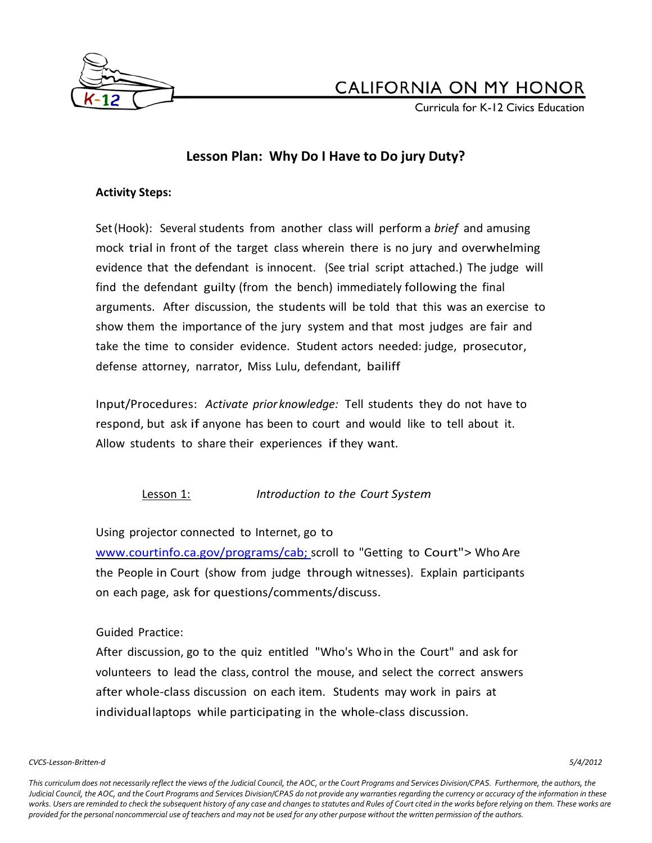

Curricula for K-12 Civics Education

## **Lesson Plan: Why Do I Have to Do jury Duty?**

### **Activity Steps:**

Set(Hook): Several students from another class will perform a *brief* and amusing mock trial in front of the target class wherein there is no jury and overwhelming evidence that the defendant is innocent. (See trial script attached.) The judge will find the defendant guilty (from the bench) immediately following the final arguments. After discussion, the students will be told that this was an exercise to show them the importance of the jury system and that most judges are fair and take the time to consider evidence. Student actors needed: judge, prosecutor, defense attorney, narrator, Miss Lulu, defendant, bailiff

Input/Procedures: *Activate prior knowledge:* Tell students they do not have to respond, but ask if anyone has been to court and would like to tell about it. Allow students to share their experiences if they want.

## Lesson 1: *Introduction to the Court System*

Using projector connected to Internet, go to

[www.courtinfo.ca.gov/programs/cab;](http://www.courtinfo.ca.gov/programs/cab;) scroll to "Getting to Court"> Who Are the People in Court (show from judge through witnesses). Explain participants on each page, ask for questions/comments/discuss.

### Guided Practice:

After discussion, go to the quiz entitled "Who's Who in the Court" and ask for volunteers to lead the class, control the mouse, and select the correct answers after whole-class discussion on each item. Students may work in pairs at individuallaptops while participating in the whole-class discussion.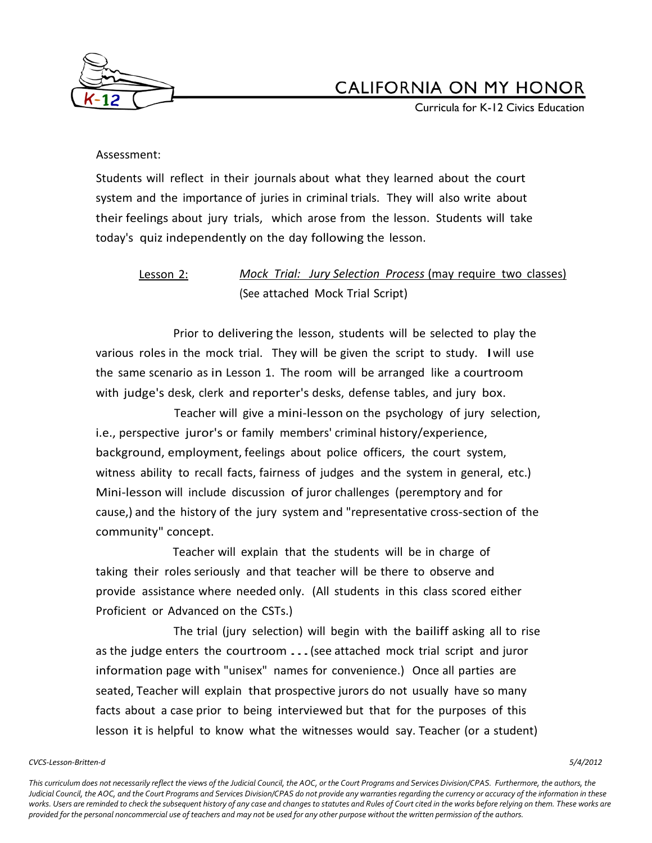

Curricula for K-12 Civics Education

### Assessment:

Students will reflect in their journals about what they learned about the court system and the importance of juries in criminal trials. They will also write about their feelings about jury trials, which arose from the lesson. Students will take today's quiz independently on the day following the lesson.

## Lesson 2: *Mock Trial: Jury Selection Process* (may require two classes) (See attached Mock Trial Script)

Prior to delivering the lesson, students will be selected to play the various roles in the mock trial. They will be given the script to study. Iwill use the same scenario as in Lesson 1. The room will be arranged like a courtroom with judge's desk, clerk and reporter's desks, defense tables, and jury box.

Teacher will give a mini-lesson on the psychology of jury selection, i.e., perspective juror's or family members' criminal history/experience, background, employment, feelings about police officers, the court system, witness ability to recall facts, fairness of judges and the system in general, etc.) Mini-lesson will include discussion of juror challenges (peremptory and for cause,) and the history of the jury system and "representative cross-section of the community" concept.

Teacher will explain that the students will be in charge of taking their roles seriously and that teacher will be there to observe and provide assistance where needed only. (All students in this class scored either Proficient or Advanced on the CSTs.)

The trial (jury selection) will begin with the bailiff asking all to rise as the judge enters the courtroom ...(see attached mock trial script and juror information page with "unisex" names for convenience.) Once all parties are seated, Teacher will explain that prospective jurors do not usually have so many facts about a case prior to being interviewed but that for the purposes of this lesson it is helpful to know what the witnesses would say. Teacher (or a student)

#### *CVCS-Lesson-Britten-d 5/4/2012*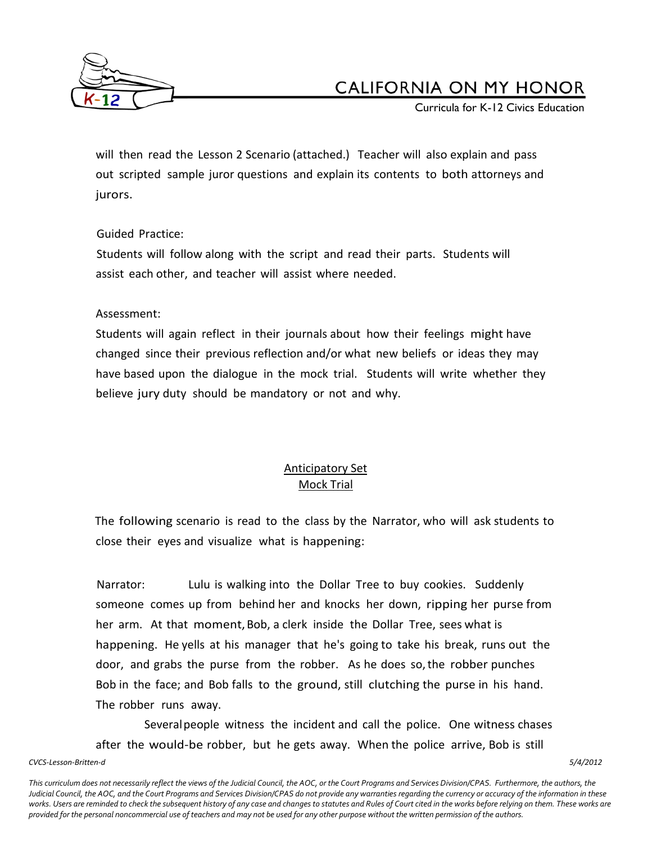

Curricula for K-12 Civics Education

will then read the Lesson 2 Scenario (attached.) Teacher will also explain and pass out scripted sample juror questions and explain its contents to both attorneys and jurors.

## Guided Practice:

Students will follow along with the script and read their parts. Students will assist each other, and teacher will assist where needed.

## Assessment:

Students will again reflect in their journals about how their feelings might have changed since their previous reflection and/or what new beliefs or ideas they may have based upon the dialogue in the mock trial. Students will write whether they believe jury duty should be mandatory or not and why.

## Anticipatory Set Mock Trial

The following scenario is read to the class by the Narrator, who will ask students to close their eyes and visualize what is happening:

Narrator: Lulu is walking into the Dollar Tree to buy cookies. Suddenly someone comes up from behind her and knocks her down, ripping her purse from her arm. At that moment,Bob, a clerk inside the Dollar Tree, sees what is happening. He yells at his manager that he's going to take his break, runs out the door, and grabs the purse from the robber. As he does so,the robber punches Bob in the face; and Bob falls to the ground, still clutching the purse in his hand. The robber runs away.

Severalpeople witness the incident and call the police. One witness chases after the would-be robber, but he gets away. When the police arrive, Bob is still

*CVCS-Lesson-Britten-d 5/4/2012*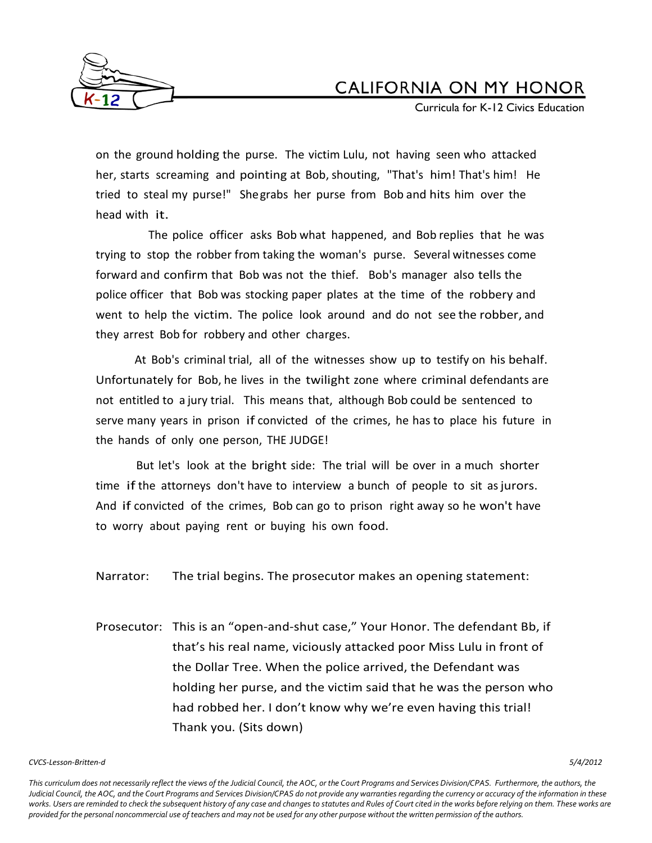

Curricula for K-12 Civics Education

on the ground holding the purse. The victim Lulu, not having seen who attacked her, starts screaming and pointing at Bob, shouting, "That's him! That's him! He tried to steal my purse!" Shegrabs her purse from Bob and hits him over the head with it.

The police officer asks Bob what happened, and Bob replies that he was trying to stop the robber from taking the woman's purse. Several witnesses come forward and confirm that Bob was not the thief. Bob's manager also tells the police officer that Bob was stocking paper plates at the time of the robbery and went to help the victim. The police look around and do not see the robber, and they arrest Bob for robbery and other charges.

At Bob's criminal trial, all of the witnesses show up to testify on his behalf. Unfortunately for Bob, he lives in the twilight zone where criminal defendants are not entitled to a jury trial. This means that, although Bob could be sentenced to serve many years in prison if convicted of the crimes, he has to place his future in the hands of only one person, THE JUDGE!

But let's look at the bright side: The trial will be over in a much shorter time if the attorneys don't have to interview a bunch of people to sit as jurors. And if convicted of the crimes, Bob can go to prison right away so he won't have to worry about paying rent or buying his own food.

Narrator: The trial begins. The prosecutor makes an opening statement:

Prosecutor: This is an "open-and-shut case," Your Honor. The defendant Bb, if that's his real name, viciously attacked poor Miss Lulu in front of the Dollar Tree. When the police arrived, the Defendant was holding her purse, and the victim said that he was the person who had robbed her. I don't know why we're even having this trial! Thank you. (Sits down)

#### *CVCS-Lesson-Britten-d 5/4/2012*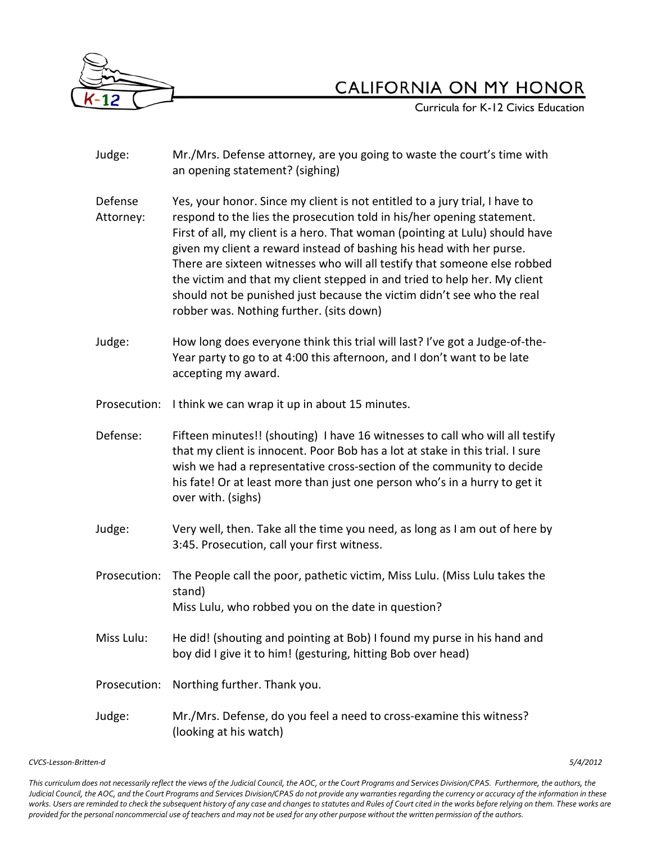

Curricula for K-12 Civics Education

Judge: Mr./Mrs. Defense attorney, are you going to waste the court's time with an opening statement? (sighing) Defense Yes, your honor. Since my client is not entitled to a jury trial, I have to Attorney: respond to the lies the prosecution told in his/her opening statement. First of all, my client is a hero. That woman (pointing at Lulu) should have given my client a reward instead of bashing his head with her purse. There are sixteen witnesses who will all testify that someone else robbed the victim and that my client stepped in and tried to help her. My client should not be punished just because the victim didn't see who the real robber was. Nothing further. (sits down) Judge: How long does everyone think this trial will last? I've got a Judge-of-the-Year party to go to at 4:00 this afternoon, and I don't want to be late accepting my award. Prosecution: I think we can wrap it up in about 15 minutes. Defense: Fifteen minutes!! (shouting) I have 16 witnesses to call who will all testify that my client is innocent. Poor Bob has a lot at stake in this trial. I sure wish we had a representative cross-section of the community to decide his fate! Or at least more than just one person who's in a hurry to get it over with. (sighs) Judge: Very well, then. Take all the time you need, as long as I am out of here by 3:45. Prosecution, call your first witness. Prosecution: The People call the poor, pathetic victim, Miss Lulu. (Miss Lulu takes the stand) Miss Lulu, who robbed you on the date in question? Miss Lulu: He did! (shouting and pointing at Bob) I found my purse in his hand and boy did I give it to him! (gesturing, hitting Bob over head) Prosecution: Northing further. Thank you. Judge: Mr./Mrs. Defense, do you feel a need to cross-examine this witness? (looking at his watch)

*CVCS-Lesson-Britten-d 5/4/2012*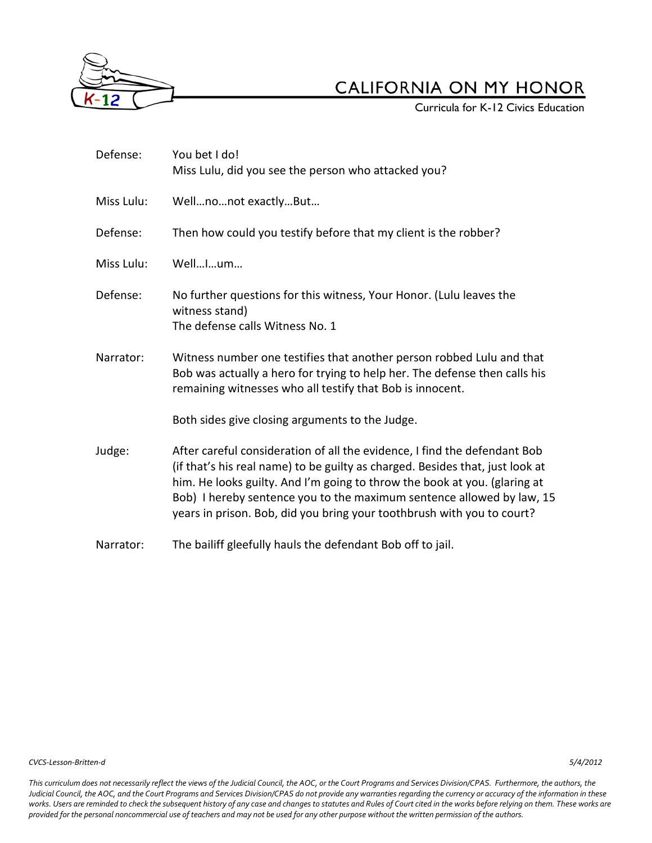

**Curricula for K-12 Civics Education** 

| Defense:   | You bet I do!<br>Miss Lulu, did you see the person who attacked you?                                                                                                                                                                                                                                                                                                                       |
|------------|--------------------------------------------------------------------------------------------------------------------------------------------------------------------------------------------------------------------------------------------------------------------------------------------------------------------------------------------------------------------------------------------|
| Miss Lulu: | Wellnonot exactlyBut                                                                                                                                                                                                                                                                                                                                                                       |
| Defense:   | Then how could you testify before that my client is the robber?                                                                                                                                                                                                                                                                                                                            |
| Miss Lulu: | WellIum                                                                                                                                                                                                                                                                                                                                                                                    |
| Defense:   | No further questions for this witness, Your Honor. (Lulu leaves the<br>witness stand)<br>The defense calls Witness No. 1                                                                                                                                                                                                                                                                   |
| Narrator:  | Witness number one testifies that another person robbed Lulu and that<br>Bob was actually a hero for trying to help her. The defense then calls his<br>remaining witnesses who all testify that Bob is innocent.                                                                                                                                                                           |
|            | Both sides give closing arguments to the Judge.                                                                                                                                                                                                                                                                                                                                            |
| Judge:     | After careful consideration of all the evidence, I find the defendant Bob<br>(if that's his real name) to be guilty as charged. Besides that, just look at<br>him. He looks guilty. And I'm going to throw the book at you. (glaring at<br>Bob) I hereby sentence you to the maximum sentence allowed by law, 15<br>years in prison. Bob, did you bring your toothbrush with you to court? |
| Narrator:  | The bailiff gleefully hauls the defendant Bob off to jail.                                                                                                                                                                                                                                                                                                                                 |

*CVCS-Lesson-Britten-d 5/4/2012*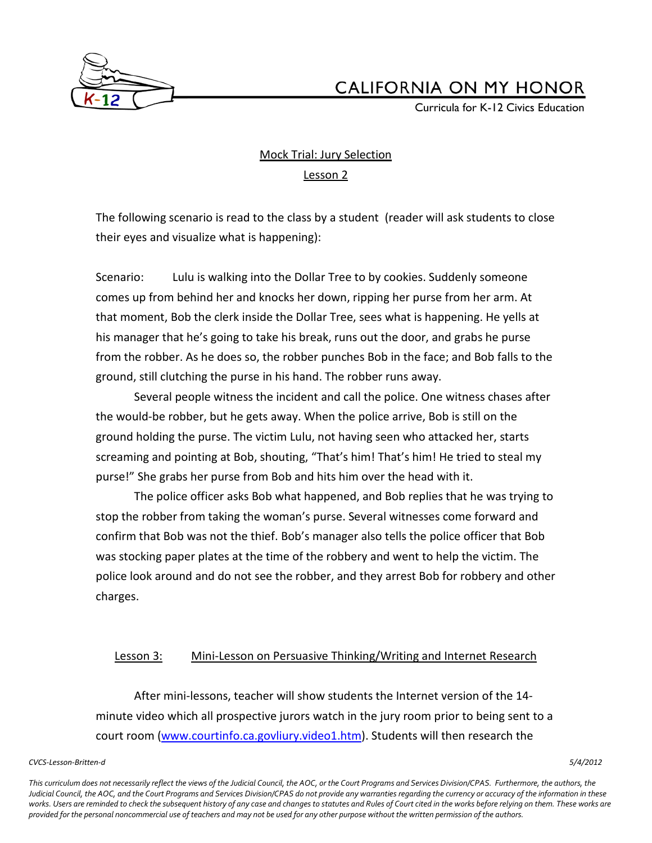

Curricula for K-12 Civics Education

## Mock Trial: Jury Selection Lesson 2

The following scenario is read to the class by a student (reader will ask students to close their eyes and visualize what is happening):

Scenario: Lulu is walking into the Dollar Tree to by cookies. Suddenly someone comes up from behind her and knocks her down, ripping her purse from her arm. At that moment, Bob the clerk inside the Dollar Tree, sees what is happening. He yells at his manager that he's going to take his break, runs out the door, and grabs he purse from the robber. As he does so, the robber punches Bob in the face; and Bob falls to the ground, still clutching the purse in his hand. The robber runs away.

Several people witness the incident and call the police. One witness chases after the would-be robber, but he gets away. When the police arrive, Bob is still on the ground holding the purse. The victim Lulu, not having seen who attacked her, starts screaming and pointing at Bob, shouting, "That's him! That's him! He tried to steal my purse!" She grabs her purse from Bob and hits him over the head with it.

The police officer asks Bob what happened, and Bob replies that he was trying to stop the robber from taking the woman's purse. Several witnesses come forward and confirm that Bob was not the thief. Bob's manager also tells the police officer that Bob was stocking paper plates at the time of the robbery and went to help the victim. The police look around and do not see the robber, and they arrest Bob for robbery and other charges.

### Lesson 3: Mini-Lesson on Persuasive Thinking/Writing and Internet Research

After mini-lessons, teacher will show students the Internet version of the 14 minute video which all prospective jurors watch in the jury room prior to being sent to a court room [\(www.courtinfo.ca.govliury.video1.htm\)](http://www.courtinfo.ca.govliury.video1.htm/). Students will then research the

#### *CVCS-Lesson-Britten-d 5/4/2012*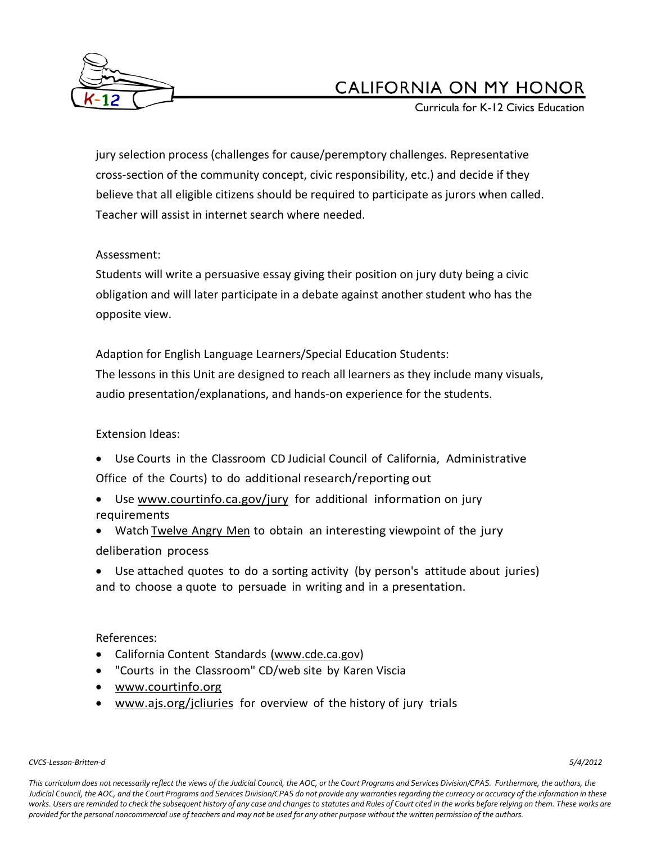

Curricula for K-12 Civics Education

jury selection process (challenges for cause/peremptory challenges. Representative cross-section of the community concept, civic responsibility, etc.) and decide if they believe that all eligible citizens should be required to participate as jurors when called. Teacher will assist in internet search where needed.

## Assessment:

Students will write a persuasive essay giving their position on jury duty being a civic obligation and will later participate in a debate against another student who has the opposite view.

Adaption for English Language Learners/Special Education Students:

The lessons in this Unit are designed to reach all learners as they include many visuals, audio presentation/explanations, and hands-on experience for the students.

## Extension Ideas:

- Use Courts in the Classroom CD Judicial Council of California, Administrative Office of the Courts) to do additional research/reporting out
- Use [www.courtinfo.ca.gov/jury](http://www.courtinfo.ca.gov/jury) for additional information on jury requirements
- Watch Twelve Angry Men to obtain an interesting viewpoint of the jury deliberation process
- Use attached quotes to do a sorting activity (by person's attitude about juries) and to choose a quote to persuade in writing and in a presentation.

## References:

- California Content Standards [\(www.cde.ca.gov\)](http://www.cde.ca.gov/)
- "Courts in the Classroom" CD/web site by Karen Viscia
- [www.courtinfo.org](http://www.courtinfo.org/)
- [www.ajs.org/jcliuries](http://www.ajs.org/jcliuries) for overview of the history of jury trials

### *CVCS-Lesson-Britten-d 5/4/2012*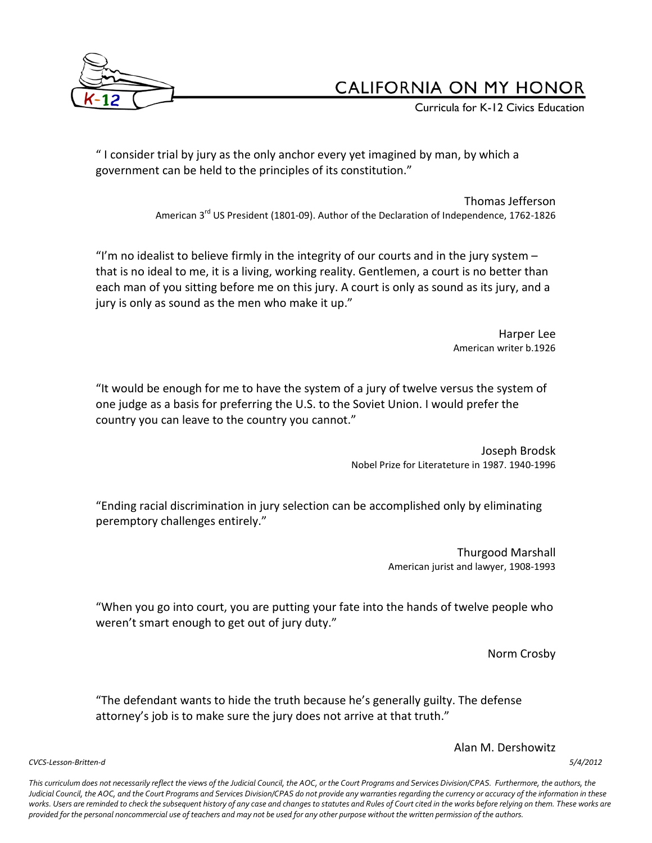

Curricula for K-12 Civics Education

" I consider trial by jury as the only anchor every yet imagined by man, by which a government can be held to the principles of its constitution."

> Thomas Jefferson American 3<sup>rd</sup> US President (1801-09). Author of the Declaration of Independence, 1762-1826

"I'm no idealist to believe firmly in the integrity of our courts and in the jury system  $$ that is no ideal to me, it is a living, working reality. Gentlemen, a court is no better than each man of you sitting before me on this jury. A court is only as sound as its jury, and a jury is only as sound as the men who make it up."

> Harper Lee American writer b.1926

"It would be enough for me to have the system of a jury of twelve versus the system of one judge as a basis for preferring the U.S. to the Soviet Union. I would prefer the country you can leave to the country you cannot."

> Joseph Brodsk Nobel Prize for Literateture in 1987. 1940-1996

"Ending racial discrimination in jury selection can be accomplished only by eliminating peremptory challenges entirely."

> Thurgood Marshall American jurist and lawyer, 1908-1993

"When you go into court, you are putting your fate into the hands of twelve people who weren't smart enough to get out of jury duty."

Norm Crosby

"The defendant wants to hide the truth because he's generally guilty. The defense attorney's job is to make sure the jury does not arrive at that truth."

Alan M. Dershowitz

*CVCS-Lesson-Britten-d 5/4/2012*